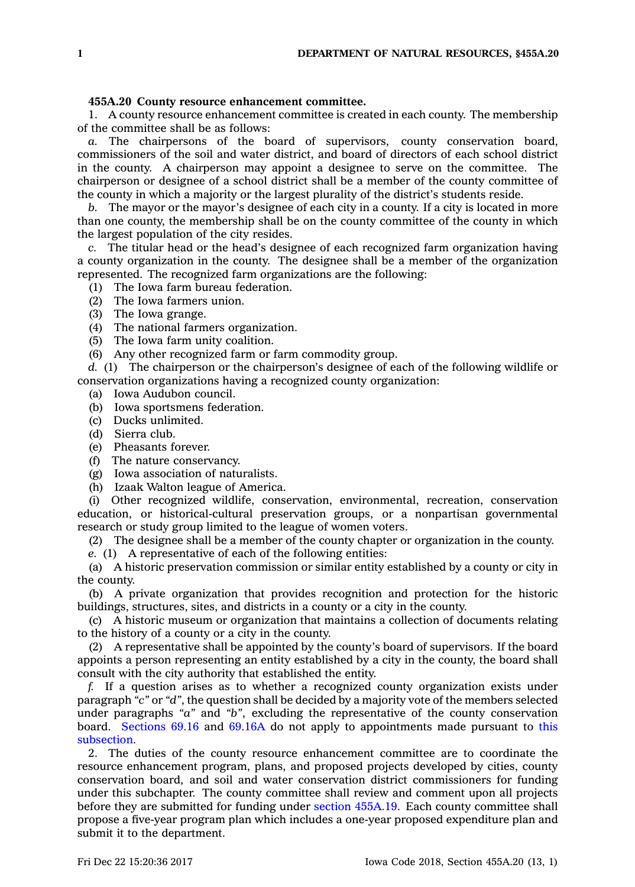## **455A.20 County resource enhancement committee.**

1. A county resource enhancement committee is created in each county. The membership of the committee shall be as follows:

*a.* The chairpersons of the board of supervisors, county conservation board, commissioners of the soil and water district, and board of directors of each school district in the county. A chairperson may appoint <sup>a</sup> designee to serve on the committee. The chairperson or designee of <sup>a</sup> school district shall be <sup>a</sup> member of the county committee of the county in which <sup>a</sup> majority or the largest plurality of the district's students reside.

*b.* The mayor or the mayor's designee of each city in <sup>a</sup> county. If <sup>a</sup> city is located in more than one county, the membership shall be on the county committee of the county in which the largest population of the city resides.

*c.* The titular head or the head's designee of each recognized farm organization having <sup>a</sup> county organization in the county. The designee shall be <sup>a</sup> member of the organization represented. The recognized farm organizations are the following:

(1) The Iowa farm bureau federation.

- (2) The Iowa farmers union.
- (3) The Iowa grange.

(4) The national farmers organization.

(5) The Iowa farm unity coalition.

(6) Any other recognized farm or farm commodity group.

*d.* (1) The chairperson or the chairperson's designee of each of the following wildlife or conservation organizations having <sup>a</sup> recognized county organization:

- (a) Iowa Audubon council.
- (b) Iowa sportsmens federation.
- (c) Ducks unlimited.
- (d) Sierra club.
- (e) Pheasants forever.
- (f) The nature conservancy.
- (g) Iowa association of naturalists.
- (h) Izaak Walton league of America.

(i) Other recognized wildlife, conservation, environmental, recreation, conservation education, or historical-cultural preservation groups, or <sup>a</sup> nonpartisan governmental research or study group limited to the league of women voters.

(2) The designee shall be <sup>a</sup> member of the county chapter or organization in the county.

*e.* (1) A representative of each of the following entities:

(a) A historic preservation commission or similar entity established by <sup>a</sup> county or city in the county.

(b) A private organization that provides recognition and protection for the historic buildings, structures, sites, and districts in <sup>a</sup> county or <sup>a</sup> city in the county.

(c) A historic museum or organization that maintains <sup>a</sup> collection of documents relating to the history of <sup>a</sup> county or <sup>a</sup> city in the county.

(2) A representative shall be appointed by the county's board of supervisors. If the board appoints <sup>a</sup> person representing an entity established by <sup>a</sup> city in the county, the board shall consult with the city authority that established the entity.

*f.* If <sup>a</sup> question arises as to whether <sup>a</sup> recognized county organization exists under paragraph *"c"* or *"d"*, the question shall be decided by <sup>a</sup> majority vote of the members selected under paragraphs *"a"* and *"b"*, excluding the representative of the county conservation board. [Sections](https://www.legis.iowa.gov/docs/code/69.16.pdf) 69.16 and [69.16A](https://www.legis.iowa.gov/docs/code/69.16A.pdf) do not apply to appointments made pursuant to [this](https://www.legis.iowa.gov/docs/code/455A.20.pdf) [subsection](https://www.legis.iowa.gov/docs/code/455A.20.pdf).

2. The duties of the county resource enhancement committee are to coordinate the resource enhancement program, plans, and proposed projects developed by cities, county conservation board, and soil and water conservation district commissioners for funding under this subchapter. The county committee shall review and comment upon all projects before they are submitted for funding under section [455A.19](https://www.legis.iowa.gov/docs/code/455A.19.pdf). Each county committee shall propose <sup>a</sup> five-year program plan which includes <sup>a</sup> one-year proposed expenditure plan and submit it to the department.